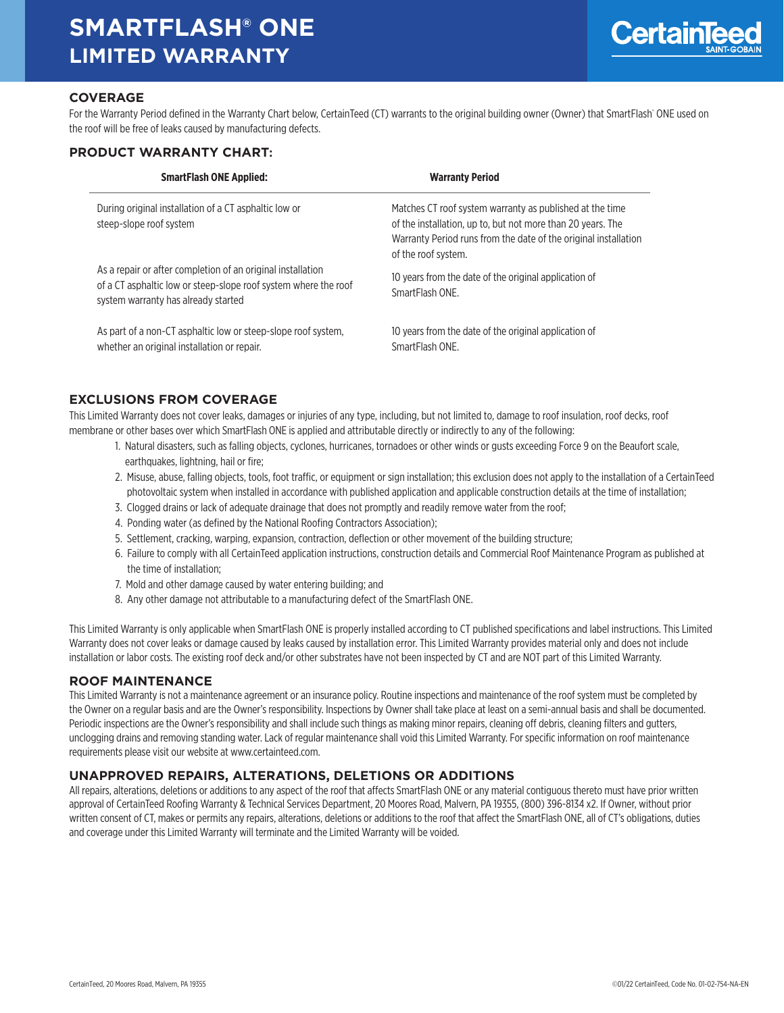# **SMARTFLASH® ONE LIMITED WARRANTY**



## **COVERAGE**

For the Warranty Period defined in the Warranty Chart below, CertainTeed (CT) warrants to the original building owner (Owner) that SmartFlash" ONE used on the roof will be free of leaks caused by manufacturing defects.

### **PRODUCT WARRANTY CHART:**

| <b>SmartFlash ONE Applied:</b>                                                                                                                                        | <b>Warranty Period</b>                                                                                                                                                                                            |
|-----------------------------------------------------------------------------------------------------------------------------------------------------------------------|-------------------------------------------------------------------------------------------------------------------------------------------------------------------------------------------------------------------|
| During original installation of a CT asphaltic low or<br>steep-slope roof system                                                                                      | Matches CT roof system warranty as published at the time<br>of the installation, up to, but not more than 20 years. The<br>Warranty Period runs from the date of the original installation<br>of the roof system. |
| As a repair or after completion of an original installation<br>of a CT asphaltic low or steep-slope roof system where the roof<br>system warranty has already started | 10 years from the date of the original application of<br>SmartFlash ONF.                                                                                                                                          |
| As part of a non-CT asphaltic low or steep-slope roof system,<br>whether an original installation or repair.                                                          | 10 years from the date of the original application of<br>SmartFlash ONF.                                                                                                                                          |

### **EXCLUSIONS FROM COVERAGE**

This Limited Warranty does not cover leaks, damages or injuries of any type, including, but not limited to, damage to roof insulation, roof decks, roof membrane or other bases over which SmartFlash ONE is applied and attributable directly or indirectly to any of the following:

- 1. Natural disasters, such as falling objects, cyclones, hurricanes, tornadoes or other winds or gusts exceeding Force 9 on the Beaufort scale, earthquakes, lightning, hail or fire;
- 2. Misuse, abuse, falling objects, tools, foot traffic, or equipment or sign installation; this exclusion does not apply to the installation of a CertainTeed photovoltaic system when installed in accordance with published application and applicable construction details at the time of installation;
- 3. Clogged drains or lack of adequate drainage that does not promptly and readily remove water from the roof;
- 4. Ponding water (as defined by the National Roofing Contractors Association);
- 5. Settlement, cracking, warping, expansion, contraction, deflection or other movement of the building structure;
- 6. Failure to comply with all CertainTeed application instructions, construction details and Commercial Roof Maintenance Program as published at the time of installation;
- 7. Mold and other damage caused by water entering building; and
- 8. Any other damage not attributable to a manufacturing defect of the SmartFlash ONE.

This Limited Warranty is only applicable when SmartFlash ONE is properly installed according to CT published specifications and label instructions. This Limited Warranty does not cover leaks or damage caused by leaks caused by installation error. This Limited Warranty provides material only and does not include installation or labor costs. The existing roof deck and/or other substrates have not been inspected by CT and are NOT part of this Limited Warranty.

### **ROOF MAINTENANCE**

This Limited Warranty is not a maintenance agreement or an insurance policy. Routine inspections and maintenance of the roof system must be completed by the Owner on a regular basis and are the Owner's responsibility. Inspections by Owner shall take place at least on a semi-annual basis and shall be documented. Periodic inspections are the Owner's responsibility and shall include such things as making minor repairs, cleaning off debris, cleaning filters and gutters, unclogging drains and removing standing water. Lack of regular maintenance shall void this Limited Warranty. For specific information on roof maintenance requirements please visit our website at www.certainteed.com.

### **UNAPPROVED REPAIRS, ALTERATIONS, DELETIONS OR ADDITIONS**

All repairs, alterations, deletions or additions to any aspect of the roof that affects SmartFlash ONE or any material contiguous thereto must have prior written approval of CertainTeed Roofing Warranty & Technical Services Department, 20 Moores Road, Malvern, PA 19355, (800) 396-8134 x2. If Owner, without prior written consent of CT, makes or permits any repairs, alterations, deletions or additions to the roof that affect the SmartFlash ONE, all of CT's obligations, duties and coverage under this Limited Warranty will terminate and the Limited Warranty will be voided.